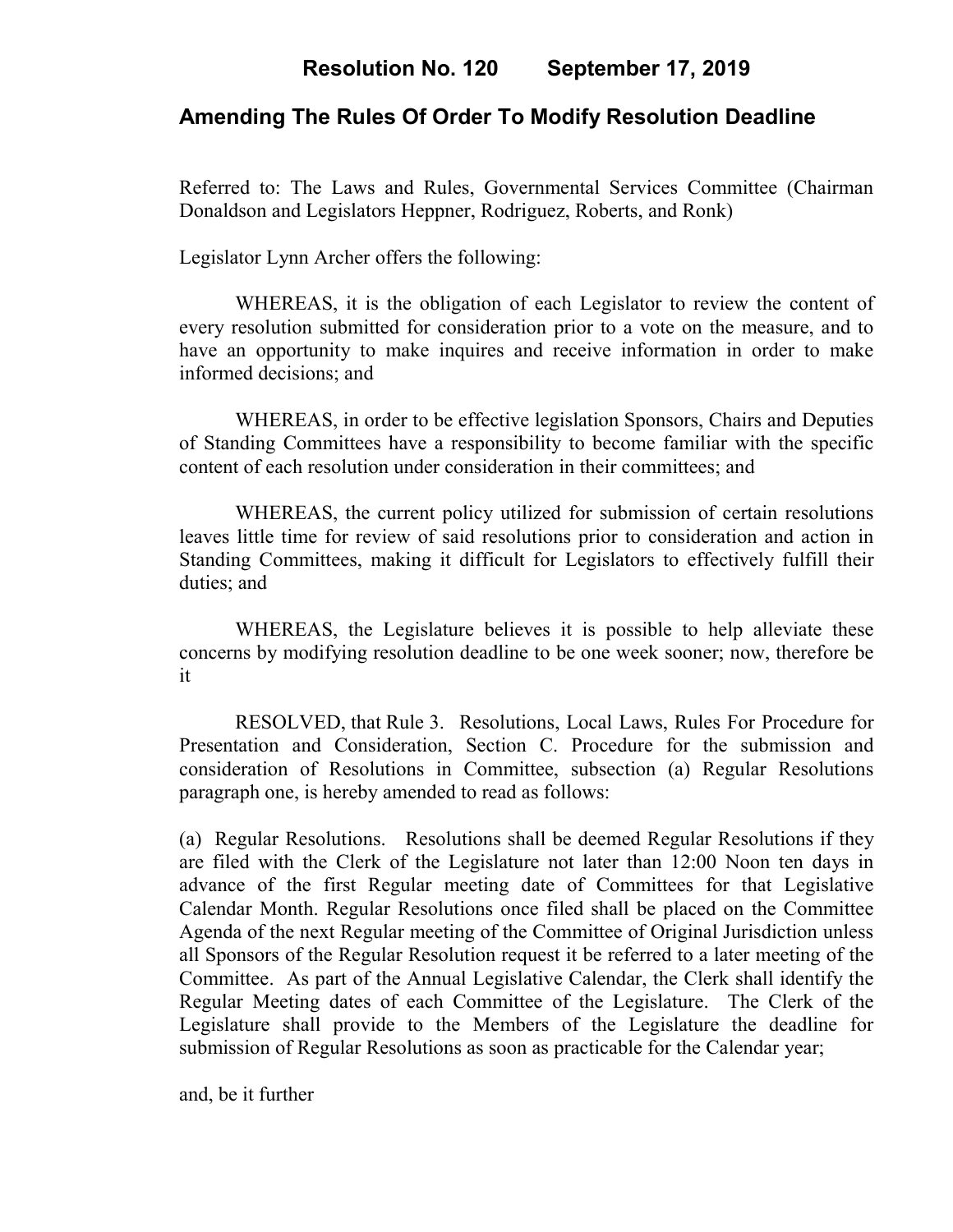# **Resolution No. 120 September 17, 2019**

# **Amending The Rules Of Order To Modify Resolution Deadline**

Referred to: The Laws and Rules, Governmental Services Committee (Chairman Donaldson and Legislators Heppner, Rodriguez, Roberts, and Ronk)

Legislator Lynn Archer offers the following:

WHEREAS, it is the obligation of each Legislator to review the content of every resolution submitted for consideration prior to a vote on the measure, and to have an opportunity to make inquires and receive information in order to make informed decisions; and

WHEREAS, in order to be effective legislation Sponsors, Chairs and Deputies of Standing Committees have a responsibility to become familiar with the specific content of each resolution under consideration in their committees; and

WHEREAS, the current policy utilized for submission of certain resolutions leaves little time for review of said resolutions prior to consideration and action in Standing Committees, making it difficult for Legislators to effectively fulfill their duties; and

WHEREAS, the Legislature believes it is possible to help alleviate these concerns by modifying resolution deadline to be one week sooner; now, therefore be it

RESOLVED, that Rule 3. Resolutions, Local Laws, Rules For Procedure for Presentation and Consideration, Section C. Procedure for the submission and consideration of Resolutions in Committee, subsection (a) Regular Resolutions paragraph one, is hereby amended to read as follows:

(a) Regular Resolutions. Resolutions shall be deemed Regular Resolutions if they are filed with the Clerk of the Legislature not later than 12:00 Noon ten days in advance of the first Regular meeting date of Committees for that Legislative Calendar Month. Regular Resolutions once filed shall be placed on the Committee Agenda of the next Regular meeting of the Committee of Original Jurisdiction unless all Sponsors of the Regular Resolution request it be referred to a later meeting of the Committee. As part of the Annual Legislative Calendar, the Clerk shall identify the Regular Meeting dates of each Committee of the Legislature. The Clerk of the Legislature shall provide to the Members of the Legislature the deadline for submission of Regular Resolutions as soon as practicable for the Calendar year;

and, be it further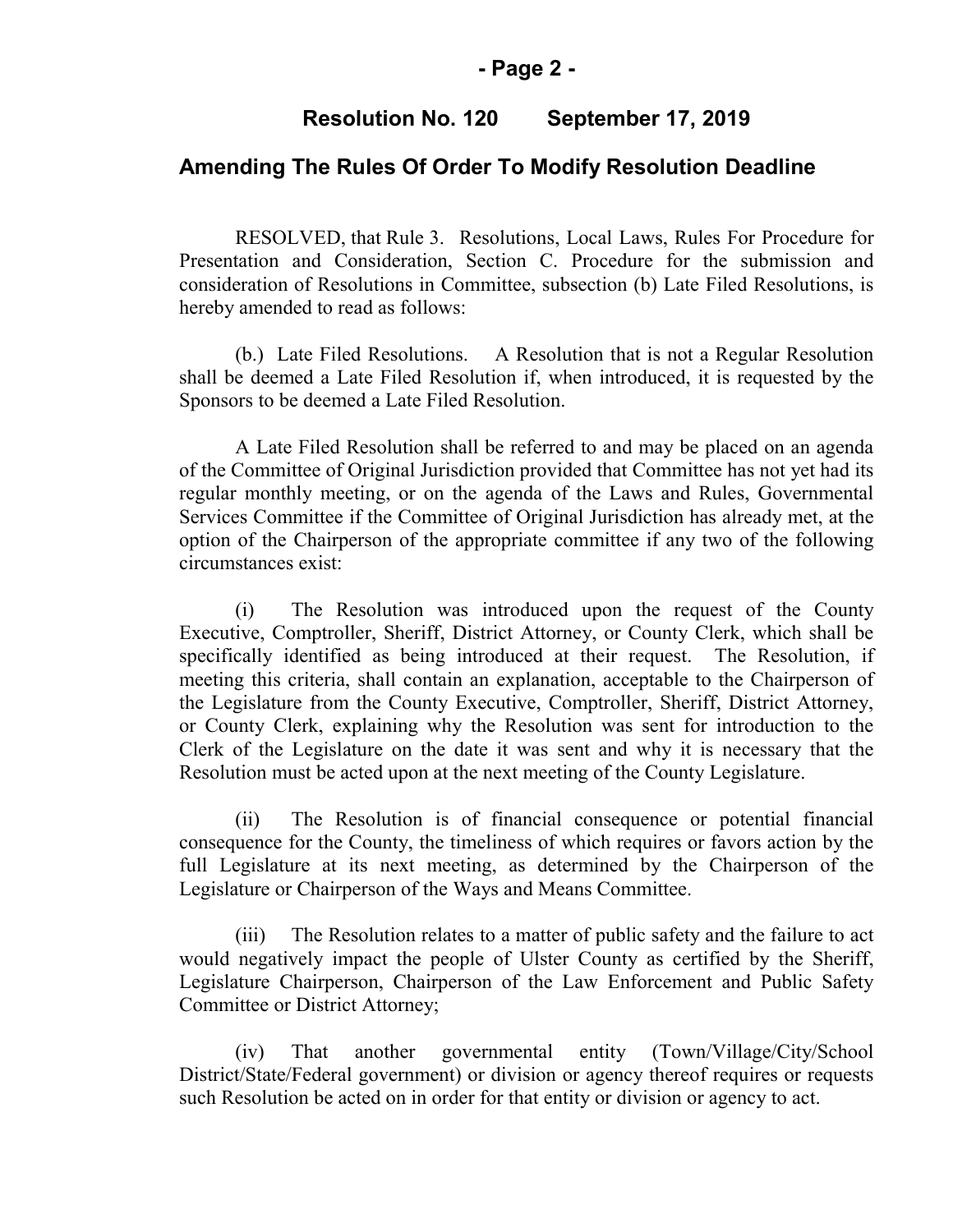#### **- Page 2 -**

### **Resolution No. 120 September 17, 2019**

### **Amending The Rules Of Order To Modify Resolution Deadline**

RESOLVED, that Rule 3. Resolutions, Local Laws, Rules For Procedure for Presentation and Consideration, Section C. Procedure for the submission and consideration of Resolutions in Committee, subsection (b) Late Filed Resolutions, is hereby amended to read as follows:

(b.) Late Filed Resolutions. A Resolution that is not a Regular Resolution shall be deemed a Late Filed Resolution if, when introduced, it is requested by the Sponsors to be deemed a Late Filed Resolution.

A Late Filed Resolution shall be referred to and may be placed on an agenda of the Committee of Original Jurisdiction provided that Committee has not yet had its regular monthly meeting, or on the agenda of the Laws and Rules, Governmental Services Committee if the Committee of Original Jurisdiction has already met, at the option of the Chairperson of the appropriate committee if any two of the following circumstances exist:

(i) The Resolution was introduced upon the request of the County Executive, Comptroller, Sheriff, District Attorney, or County Clerk, which shall be specifically identified as being introduced at their request. The Resolution, if meeting this criteria, shall contain an explanation, acceptable to the Chairperson of the Legislature from the County Executive, Comptroller, Sheriff, District Attorney, or County Clerk, explaining why the Resolution was sent for introduction to the Clerk of the Legislature on the date it was sent and why it is necessary that the Resolution must be acted upon at the next meeting of the County Legislature.

(ii) The Resolution is of financial consequence or potential financial consequence for the County, the timeliness of which requires or favors action by the full Legislature at its next meeting, as determined by the Chairperson of the Legislature or Chairperson of the Ways and Means Committee.

(iii) The Resolution relates to a matter of public safety and the failure to act would negatively impact the people of Ulster County as certified by the Sheriff, Legislature Chairperson, Chairperson of the Law Enforcement and Public Safety Committee or District Attorney;

(iv) That another governmental entity (Town/Village/City/School District/State/Federal government) or division or agency thereof requires or requests such Resolution be acted on in order for that entity or division or agency to act.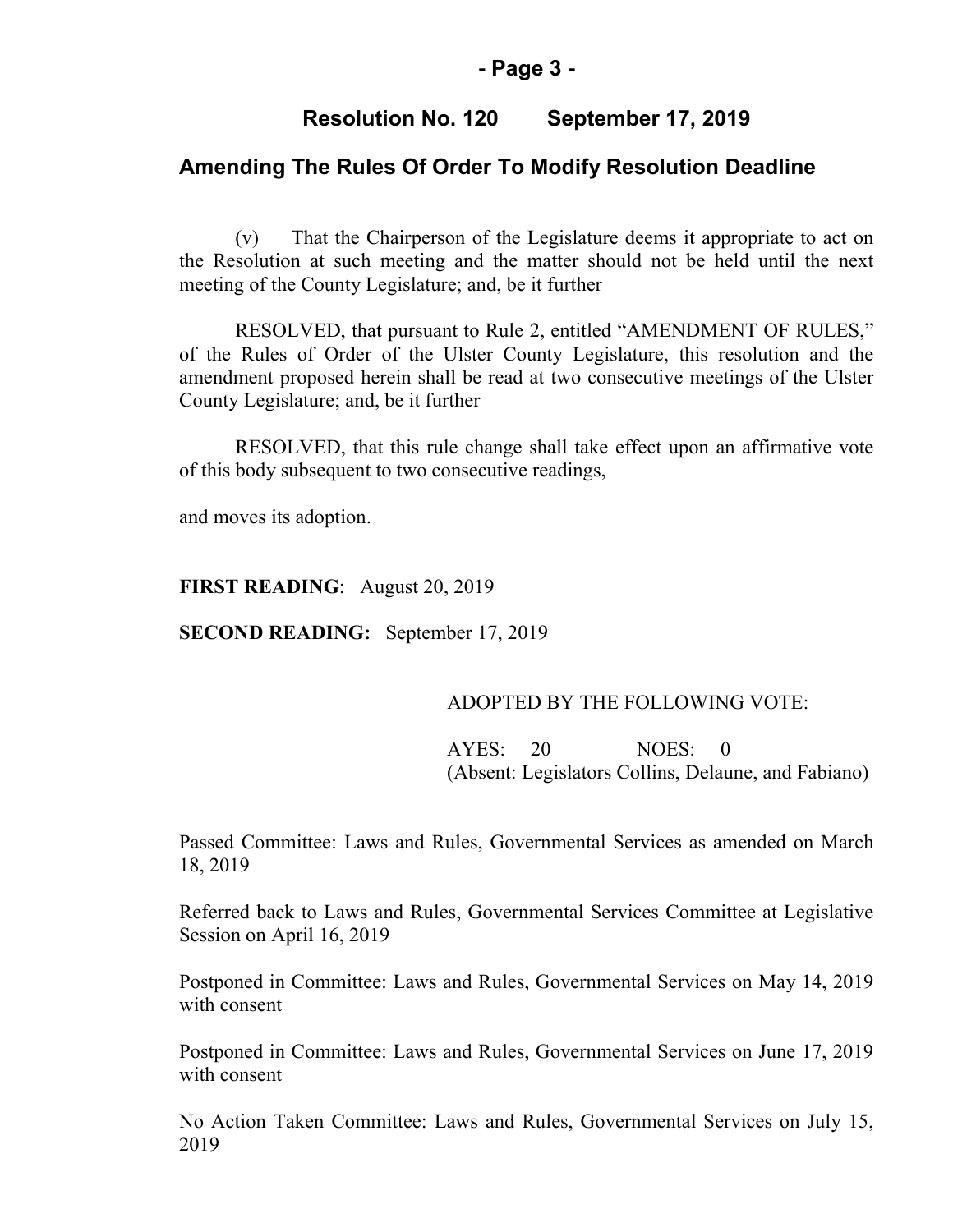#### **- Page 3 -**

#### **Resolution No. 120 September 17, 2019**

#### **Amending The Rules Of Order To Modify Resolution Deadline**

(v) That the Chairperson of the Legislature deems it appropriate to act on the Resolution at such meeting and the matter should not be held until the next meeting of the County Legislature; and, be it further

RESOLVED, that pursuant to Rule 2, entitled "AMENDMENT OF RULES," of the Rules of Order of the Ulster County Legislature, this resolution and the amendment proposed herein shall be read at two consecutive meetings of the Ulster County Legislature; and, be it further

RESOLVED, that this rule change shall take effect upon an affirmative vote of this body subsequent to two consecutive readings,

and moves its adoption.

**FIRST READING**: August 20, 2019

**SECOND READING:** September 17, 2019

#### ADOPTED BY THE FOLLOWING VOTE:

 AYES: 20 NOES: 0 (Absent: Legislators Collins, Delaune, and Fabiano)

Passed Committee: Laws and Rules, Governmental Services as amended on March 18, 2019

Referred back to Laws and Rules, Governmental Services Committee at Legislative Session on April 16, 2019

Postponed in Committee: Laws and Rules, Governmental Services on May 14, 2019 with consent

Postponed in Committee: Laws and Rules, Governmental Services on June 17, 2019 with consent

No Action Taken Committee: Laws and Rules, Governmental Services on July 15, 2019